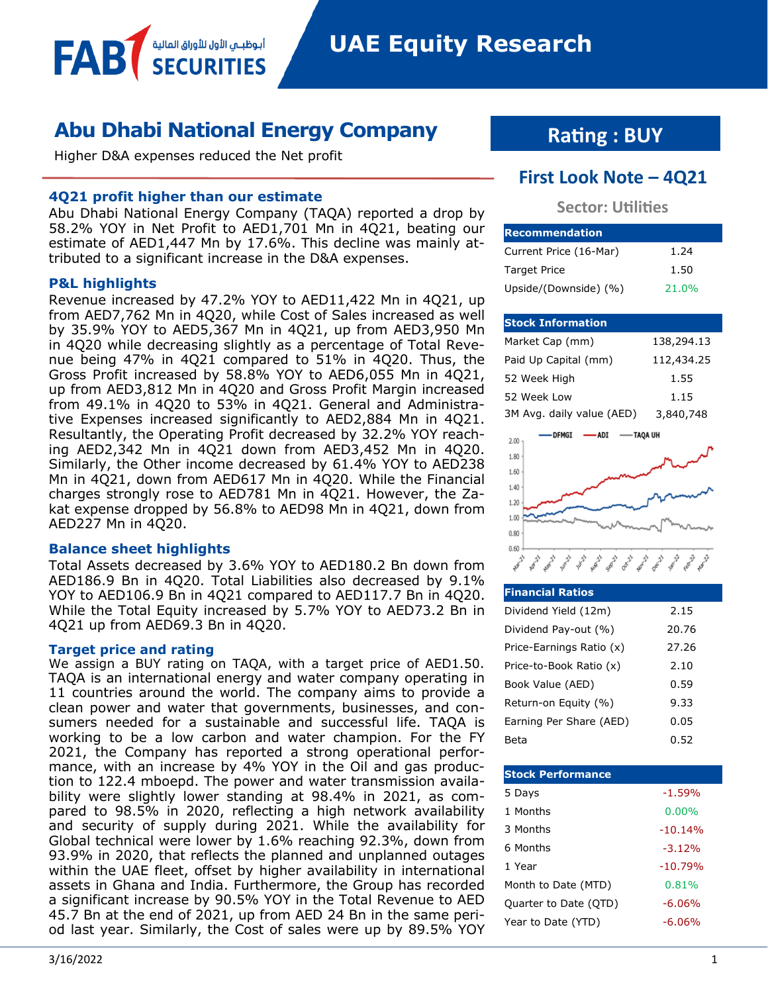**UAE Equity Research** 

# **Abu Dhabi National Energy Company**

Higher D&A expenses reduced the Net profit

أبوظبــم الأول للأوراق المالية

### **4Q21 profit higher than our estimate**

Abu Dhabi National Energy Company (TAQA) reported a drop by 58.2% YOY in Net Profit to AED1,701 Mn in 4Q21, beating our estimate of AED1,447 Mn by 17.6%. This decline was mainly attributed to a significant increase in the D&A expenses.

### **P&L highlights**

FAB

Revenue increased by 47.2% YOY to AED11,422 Mn in 4Q21, up from AED7,762 Mn in 4Q20, while Cost of Sales increased as well by 35.9% YOY to AED5,367 Mn in 4Q21, up from AED3,950 Mn in 4Q20 while decreasing slightly as a percentage of Total Revenue being 47% in 4Q21 compared to 51% in 4Q20. Thus, the Gross Profit increased by 58.8% YOY to AED6,055 Mn in 4Q21, up from AED3,812 Mn in 4Q20 and Gross Profit Margin increased from 49.1% in 4Q20 to 53% in 4Q21. General and Administrative Expenses increased significantly to AED2,884 Mn in 4Q21. Resultantly, the Operating Profit decreased by 32.2% YOY reaching AED2,342 Mn in 4Q21 down from AED3,452 Mn in 4Q20. Similarly, the Other income decreased by 61.4% YOY to AED238 Mn in 4Q21, down from AED617 Mn in 4Q20. While the Financial charges strongly rose to AED781 Mn in 4Q21. However, the Zakat expense dropped by 56.8% to AED98 Mn in 4Q21, down from AED227 Mn in 4Q20.

### **Balance sheet highlights**

Total Assets decreased by 3.6% YOY to AED180.2 Bn down from AED186.9 Bn in 4Q20. Total Liabilities also decreased by 9.1% YOY to AED106.9 Bn in 4Q21 compared to AED117.7 Bn in 4Q20. While the Total Equity increased by 5.7% YOY to AED73.2 Bn in 4Q21 up from AED69.3 Bn in 4Q20.

### **Target price and rating**

We assign a BUY rating on TAQA, with a target price of AED1.50. TAQA is an international energy and water company operating in 11 countries around the world. The company aims to provide a clean power and water that governments, businesses, and consumers needed for a sustainable and successful life. TAQA is working to be a low carbon and water champion. For the FY 2021, the Company has reported a strong operational performance, with an increase by 4% YOY in the Oil and gas production to 122.4 mboepd. The power and water transmission availability were slightly lower standing at 98.4% in 2021, as compared to 98.5% in 2020, reflecting a high network availability and security of supply during 2021. While the availability for Global technical were lower by 1.6% reaching 92.3%, down from 93.9% in 2020, that reflects the planned and unplanned outages within the UAE fleet, offset by higher availability in international assets in Ghana and India. Furthermore, the Group has recorded a significant increase by 90.5% YOY in the Total Revenue to AED 45.7 Bn at the end of 2021, up from AED 24 Bn in the same period last year. Similarly, the Cost of sales were up by 89.5% YOY

# **Rating : BUY**

## **First Look Note – 4Q21**

### **Sector: Utilities**

| <b>Recommendation</b>  |       |
|------------------------|-------|
| Current Price (16-Mar) | 1.24  |
| <b>Target Price</b>    | 1.50  |
| Upside/(Downside) (%)  | 21.0% |

### **Stock Information**

| Market Cap (mm)           | 138,294.13 |
|---------------------------|------------|
| Paid Up Capital (mm)      | 112,434.25 |
| 52 Week High              | 1.55       |
| 52 Week Low               | 1.15       |
| 3M Avg. daily value (AED) | 3,840,748  |



| <b>Financial Ratios</b>  |       |
|--------------------------|-------|
| Dividend Yield (12m)     | 2.15  |
| Dividend Pay-out (%)     | 20.76 |
| Price-Earnings Ratio (x) | 27.26 |
| Price-to-Book Ratio (x)  | 2.10  |
| Book Value (AED)         | 0.59  |
| Return-on Equity (%)     | 9.33  |
| Earning Per Share (AED)  | 0.05  |
| Beta                     | 0.52  |

| <b>Stock Performance</b> |           |
|--------------------------|-----------|
| 5 Days                   | $-1.59%$  |
| 1 Months                 | $0.00\%$  |
| 3 Months                 | $-10.14%$ |
| 6 Months                 | $-3.12%$  |
| 1 Year                   | $-10.79%$ |
| Month to Date (MTD)      | 0.81%     |
| Quarter to Date (QTD)    | $-6.06%$  |
| Year to Date (YTD)       | $-6.06%$  |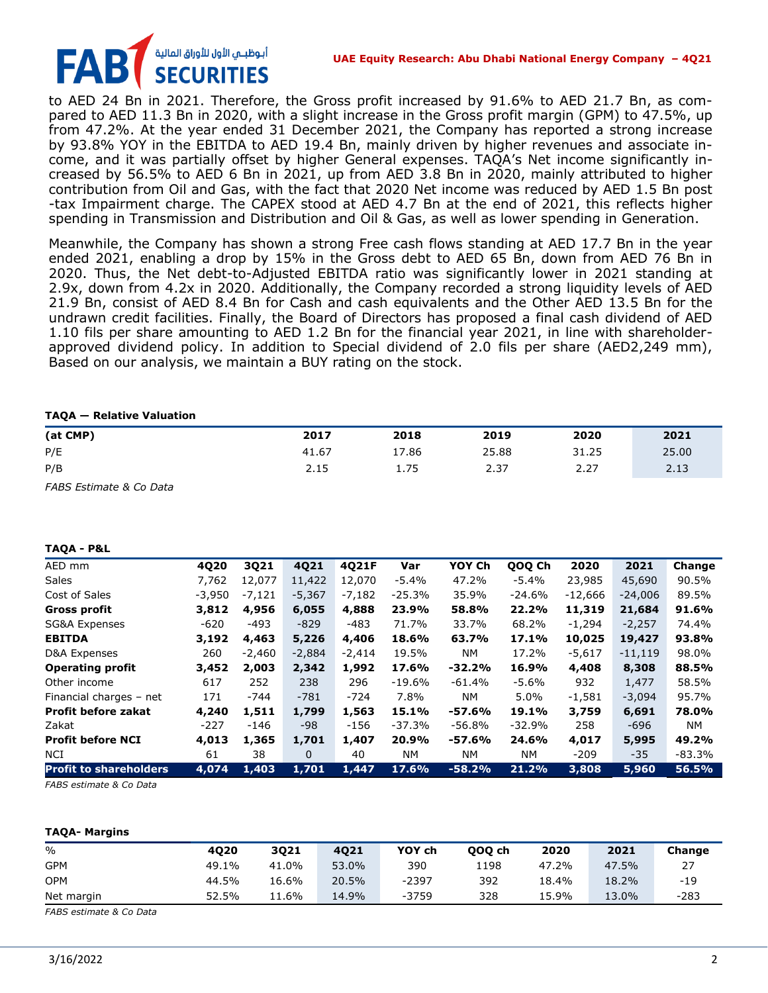# أبوظبــي الأول للأوراق الماليا **SECURITIES**

to AED 24 Bn in 2021. Therefore, the Gross profit increased by 91.6% to AED 21.7 Bn, as compared to AED 11.3 Bn in 2020, with a slight increase in the Gross profit margin (GPM) to 47.5%, up from 47.2%. At the year ended 31 December 2021, the Company has reported a strong increase by 93.8% YOY in the EBITDA to AED 19.4 Bn, mainly driven by higher revenues and associate income, and it was partially offset by higher General expenses. TAQA's Net income significantly increased by 56.5% to AED 6 Bn in 2021, up from AED 3.8 Bn in 2020, mainly attributed to higher contribution from Oil and Gas, with the fact that 2020 Net income was reduced by AED 1.5 Bn post -tax Impairment charge. The CAPEX stood at AED 4.7 Bn at the end of 2021, this reflects higher spending in Transmission and Distribution and Oil & Gas, as well as lower spending in Generation.

Meanwhile, the Company has shown a strong Free cash flows standing at AED 17.7 Bn in the year ended 2021, enabling a drop by 15% in the Gross debt to AED 65 Bn, down from AED 76 Bn in 2020. Thus, the Net debt-to-Adjusted EBITDA ratio was significantly lower in 2021 standing at 2.9x, down from 4.2x in 2020. Additionally, the Company recorded a strong liquidity levels of AED 21.9 Bn, consist of AED 8.4 Bn for Cash and cash equivalents and the Other AED 13.5 Bn for the undrawn credit facilities. Finally, the Board of Directors has proposed a final cash dividend of AED 1.10 fils per share amounting to AED 1.2 Bn for the financial year 2021, in line with shareholderapproved dividend policy. In addition to Special dividend of 2.0 fils per share (AED2,249 mm), Based on our analysis, we maintain a BUY rating on the stock.

### **TAQA — Relative Valuation**

| (at CMP)                | 2017  | 2018  | 2019  | 2020  | 2021  |
|-------------------------|-------|-------|-------|-------|-------|
| P/E                     | 41.67 | 17.86 | 25.88 | 31.25 | 25.00 |
| P/B                     | 2.15  | 1.75  | 2.37  | 2.27  | 2.13  |
| FABS Estimate & Co Data |       |       |       |       |       |

### **TAQA - P&L**

| AED mm                        | 4020     | 3Q21     | 4Q21     | 4Q21F    | Var       | YOY Ch   | QOQ Ch   | 2020      | 2021      | Change   |
|-------------------------------|----------|----------|----------|----------|-----------|----------|----------|-----------|-----------|----------|
| <b>Sales</b>                  | 7,762    | 12.077   | 11,422   | 12,070   | -5.4%     | 47.2%    | -5.4%    | 23,985    | 45,690    | 90.5%    |
| Cost of Sales                 | $-3,950$ | -7,121   | $-5,367$ | $-7,182$ | $-25.3%$  | 35.9%    | $-24.6%$ | $-12,666$ | $-24,006$ | 89.5%    |
| <b>Gross profit</b>           | 3,812    | 4,956    | 6,055    | 4,888    | 23.9%     | 58.8%    | 22.2%    | 11,319    | 21,684    | 91.6%    |
| SG&A Expenses                 | $-620$   | $-493$   | $-829$   | $-483$   | 71.7%     | 33.7%    | 68.2%    | $-1,294$  | $-2,257$  | 74.4%    |
| <b>EBITDA</b>                 | 3,192    | 4,463    | 5,226    | 4,406    | 18.6%     | 63.7%    | 17.1%    | 10,025    | 19,427    | 93.8%    |
| D&A Expenses                  | 260      | $-2,460$ | $-2,884$ | $-2,414$ | 19.5%     | NM.      | 17.2%    | $-5,617$  | $-11,119$ | 98.0%    |
| <b>Operating profit</b>       | 3,452    | 2,003    | 2,342    | 1,992    | 17.6%     | $-32.2%$ | 16.9%    | 4,408     | 8,308     | 88.5%    |
| Other income                  | 617      | 252      | 238      | 296      | $-19.6%$  | $-61.4%$ | $-5.6%$  | 932       | 1,477     | 58.5%    |
| Financial charges - net       | 171      | $-744$   | $-781$   | $-724$   | 7.8%      | NM.      | 5.0%     | $-1,581$  | $-3.094$  | 95.7%    |
| <b>Profit before zakat</b>    | 4,240    | 1,511    | 1,799    | 1,563    | 15.1%     | $-57.6%$ | 19.1%    | 3,759     | 6,691     | 78.0%    |
| Zakat                         | $-227$   | $-146$   | -98      | $-156$   | $-37.3%$  | $-56.8%$ | $-32.9%$ | 258       | $-696$    | NM.      |
| <b>Profit before NCI</b>      | 4,013    | 1,365    | 1,701    | 1,407    | 20.9%     | $-57.6%$ | 24.6%    | 4,017     | 5,995     | 49.2%    |
| <b>NCI</b>                    | 61       | 38       | 0        | 40       | <b>NM</b> | NΜ       | NΜ       | $-209$    | $-35$     | $-83.3%$ |
| <b>Profit to shareholders</b> | 4,074    | 1,403    | 1,701    | 1,447    | 17.6%     | $-58.2%$ | 21.2%    | 3,808     | 5,960     | 56.5%    |

*FABS estimate & Co Data*

### **TAQA- Margins**

| $\%$       | 4020  | 3021  | 4021  | YOY ch  | 000 ch | 2020  | 2021  | Change |
|------------|-------|-------|-------|---------|--------|-------|-------|--------|
| <b>GPM</b> | 49.1% | 41.0% | 53.0% | 390     | 1198   | 47.2% | 47.5% |        |
| <b>OPM</b> | 44.5% | 16.6% | 20.5% | $-2397$ | 392    | 18.4% | 18.2% | $-19$  |
| Net margin | 52.5% | 11.6% | 14.9% | $-3759$ | 328    | 15.9% | 13.0% | $-283$ |

*FABS estimate & Co Data*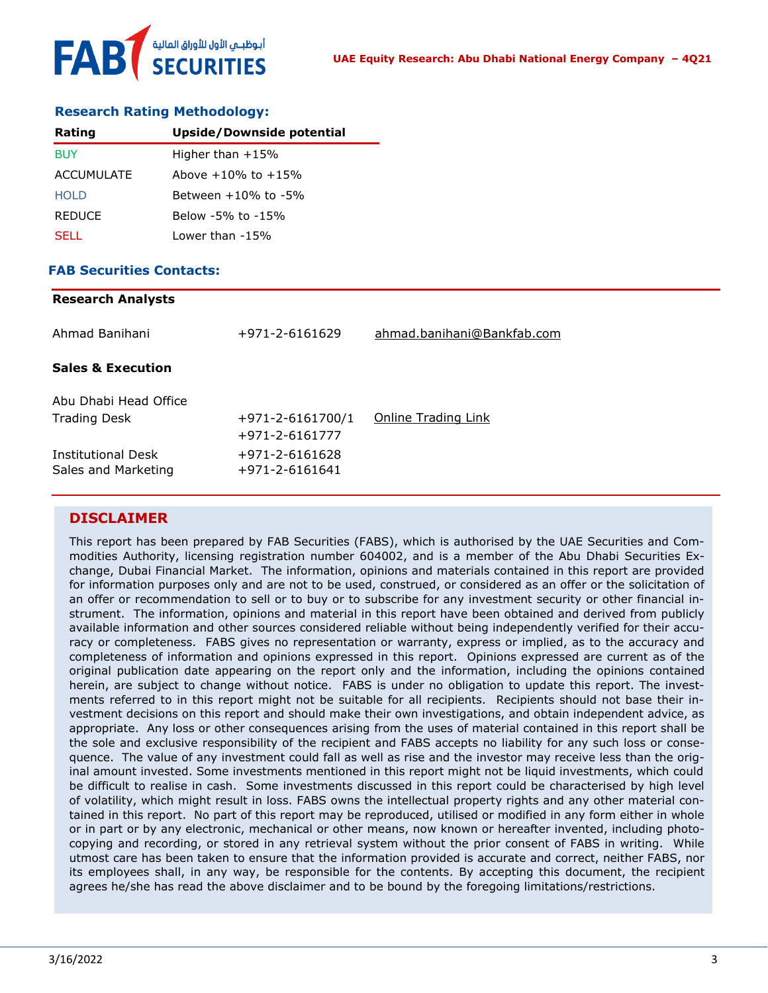

### **Research Rating Methodology:**

| Rating            | <b>Upside/Downside potential</b> |
|-------------------|----------------------------------|
| BUY               | Higher than $+15%$               |
| <b>ACCUMULATE</b> | Above $+10\%$ to $+15\%$         |
| HOI D             | Between $+10\%$ to $-5\%$        |
| <b>REDUCE</b>     | Below -5% to -15%                |
| SELL.             | Lower than -15%                  |

### **FAB Securities Contacts:**

**Research Analysts**

| Research Analysts                         |                                                |                            |
|-------------------------------------------|------------------------------------------------|----------------------------|
| Ahmad Banihani                            | +971-2-6161629                                 | ahmad.banihani@Bankfab.com |
| <b>Sales &amp; Execution</b>              |                                                |                            |
| Abu Dhabi Head Office                     |                                                |                            |
| <b>Trading Desk</b>                       | $+971 - 2 - 6161700/1$<br>$+971 - 2 - 6161777$ | Online Trading Link        |
| Institutional Desk<br>Sales and Marketing | +971-2-6161628<br>$+971 - 2 - 6161641$         |                            |
|                                           |                                                |                            |

### **DISCLAIMER**

This report has been prepared by FAB Securities (FABS), which is authorised by the UAE Securities and Commodities Authority, licensing registration number 604002, and is a member of the Abu Dhabi Securities Exchange, Dubai Financial Market. The information, opinions and materials contained in this report are provided for information purposes only and are not to be used, construed, or considered as an offer or the solicitation of an offer or recommendation to sell or to buy or to subscribe for any investment security or other financial instrument. The information, opinions and material in this report have been obtained and derived from publicly available information and other sources considered reliable without being independently verified for their accuracy or completeness. FABS gives no representation or warranty, express or implied, as to the accuracy and completeness of information and opinions expressed in this report. Opinions expressed are current as of the original publication date appearing on the report only and the information, including the opinions contained herein, are subject to change without notice. FABS is under no obligation to update this report. The investments referred to in this report might not be suitable for all recipients. Recipients should not base their investment decisions on this report and should make their own investigations, and obtain independent advice, as appropriate. Any loss or other consequences arising from the uses of material contained in this report shall be the sole and exclusive responsibility of the recipient and FABS accepts no liability for any such loss or consequence. The value of any investment could fall as well as rise and the investor may receive less than the original amount invested. Some investments mentioned in this report might not be liquid investments, which could be difficult to realise in cash. Some investments discussed in this report could be characterised by high level of volatility, which might result in loss. FABS owns the intellectual property rights and any other material contained in this report. No part of this report may be reproduced, utilised or modified in any form either in whole or in part or by any electronic, mechanical or other means, now known or hereafter invented, including photocopying and recording, or stored in any retrieval system without the prior consent of FABS in writing. While utmost care has been taken to ensure that the information provided is accurate and correct, neither FABS, nor its employees shall, in any way, be responsible for the contents. By accepting this document, the recipient agrees he/she has read the above disclaimer and to be bound by the foregoing limitations/restrictions.